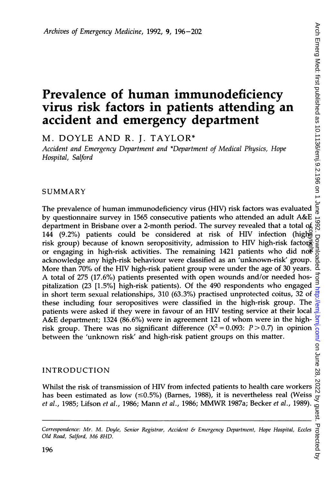# Prevalence of human immunodeficiency virus risk factors in patients attending an accident and emergency department

M. DOYLE AND R. J. TAYLOR\*

Accident and Emergency Department and \*Department of Medical Physics, Hope Hospital, Salford

# SUMMARY

The prevalence of human immunodeficiency virus (HIV) risk factors was evaluated by questionnaire survey in <sup>1565</sup> consecutive patients who attended an adult A&E department in Brisbane over a 2-month period. The survey revealed that a total of department in bisbanc over a 2-month period. The survey revealed that a total of 144 (9.2%) patients could be considered at risk of HIV infection (high-<br>risk group) because of known seropositivity, admission to HIV high-ri risk group) because of known seropositivity, admission to HIV high-risk factors or engaging in high-risk activities. The remaining 1421 patients who did not acknowledge any high-risk behaviour were classified as an 'unknown-risk' group. More than 70% of the HIV high-risk patient group were under the age of 30 years. A total of <sup>275</sup> (17.6%) patients presented with open wounds and/or needed hospitalization (23 [1.5%] high-risk patients). Of the 490 respondents who engaged in short term sexual relationships, 310 (63.3%) practised unprotected coitus, 32 of these including four seropositives were classified in the high-risk group. The patients were asked if they were in favour of an HIV testing service at their local 3.<br>
A&E department; 1324 (86.6%) were in agreement 121 of whom were in the high-<br>
risk group. There was no significant difference ( $X^2 =$ A&E department; <sup>1324</sup> (86.6%) were in agreement <sup>121</sup> of whom were in the highrisk group. There was no significant difference  $(X^2 = 0.093: P > 0.7)$  in opinion between the 'unknown risk' and high-risk patient groups on this matter.

# INTRODUCTION

Whilst the risk of transmission of HIV from infected patients to health care workers has been estimated as low  $(\leq 0.5\%)$  (Barnes, 1988), it is nevertheless real (Weiss et al., 1985; Lifson et al., 1986; Mann et al., 1986; MMWR 1987a; Becker et al., 1989).

Correspondence: Mr. M. Doyle, Senior Registrar, Accident & Eniergency Departnient, Hope Hospital, Eccles Old Road, Salford, M6 8HD.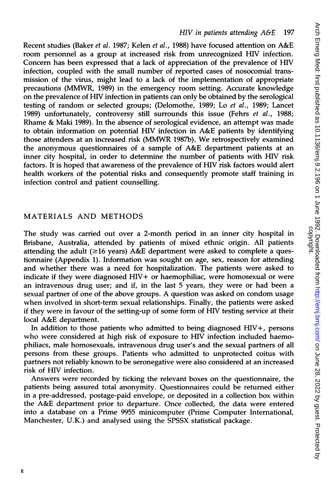Recent studies (Baker et al. 1987; Kelen et al., 1988) have focused attention on A&E room personnel as a group at increased risk from unrecognized HIV infection. Concern has been expressed that a lack of appreciation of the prevalence of HIV infection, coupled with the small number of reported cases of nosocomial transmission of the virus, might lead to a lack of the implementation of appropriate precautions (MMWR, 1989) in the emergency room setting. Accurate knowledge on the prevalence of HIV infection in patients can only be obtained by the serological testing of random or selected groups; (Delomothe, 1989; Lo et al., 1989; Lancet 1989) unfortunately, controversy still surrounds this issue (Fehrs et al., 1988; Rhame & Maki 1989). In the absence of serological evidence, an attempt was made to obtain information on potential HIV infection in A&E patients by identifying those attenders at an increased risk (MMWR 1987b). We retrospectively examined the anonymous questionnaires of <sup>a</sup> sample of A&E department patients at an inner city hospital, in order to determine the number of patients with HIV risk factors. It is hoped that awareness of the prevalence of HIV risk factors would alert health workers of the potential risks and consequently promote staff training in infection control and patient counselling.

# MATERIALS AND METHODS

The study was carried out over a 2-month period in an inner city hospital in Brisbane, Australia, attended by patients of mixed ethnic origin. All patients attending the adult ( $\geq$ 16 years) A&E department were asked to complete a questionnaire (Appendix 1). Information was sought on age, sex, reason for attending and whether there was a need for hospitalization. The patients were asked to indicate if they were diagnosed HIV+ or haemophiliac, were homosexual or were an intravenous drug user; and if, in the last 5 years, they were or had been a sexual partner of one of the above groups. A question was asked on condom usage when involved in short-term sexual relationships. Finally, the patients were asked if they were in favour of the setting-up of some form of HIV testing service at their local A&E department.

In addition to those patients who admitted to being diagnosed HIV+, persons who were considered at high risk of exposure to HIV infection included haemophiliacs, male homosexuals, intravenous drug user's and the sexual partners of all persons from these groups. Patients who admitted to unprotected coitus with partners not reliably known to be seronegative were also considered at an increased risk of HIV infection.

Answers were recorded by ticking the relevant boxes on the questionnaire, the patients being assured total anonymity. Questionnaires could be returned either in a pre-addressed, postage-paid envelope, or deposited in a collection box within the A&E department prior to departure. Once collected, the data were entered into a database on a Prime 9955 minicomputer (Prime Computer International, Manchester, U.K.) and analysed using the SPSSX statistical package.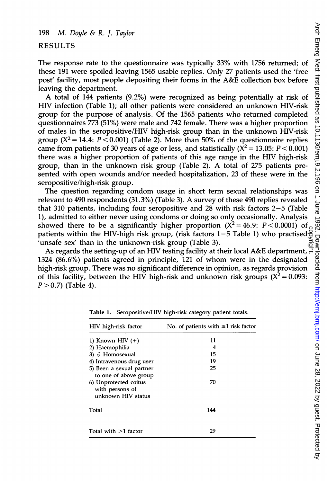### RESULTS

The response rate to the questionnaire was typically 33% with 1756 returned; of these 191 were spoiled leaving 1565 usable replies. Only 27 patients used the 'free post' facility, most people depositing their forms in the A&E collection box before leaving the department.

A total of <sup>144</sup> patients (9.2%) were recognized as being potentially at risk of HIV infection (Table 1); all other patients were considered an unknown HIV-risk group for the purpose of analysis. Of the 1565 patients who returned completed questionnaires 773 (51%) were male and 742 female. There was a higher proportion of males in the seropositive/HIV high-risk group than in the unknown HIV-risk group ( $X^2 = 14.4$ :  $P < 0.001$ ) (Table 2). More than 50% of the questionnaire replies came from patients of 30 years of age or less, and statistically  $(X^2 = 13.05: P < 0.001)$ there was a higher proportion of patients of this age range in the HIV high-risk group, than in the unknown risk group (Table 2). A total of <sup>275</sup> patients presented with open wounds and/or needed hospitalization, 23 of these were in the seropositive/high-risk group.

The question regarding condom usage in short term sexual relationships was relevant to <sup>490</sup> respondents (31.3%) (Table 3). A survey of these <sup>490</sup> replies revealed that 310 patients, including four seropositive and 28 with risk factors 2-5 (Table 1), admitted to either never using condoms or doing so only occasionally. Analysis showed there to be a significantly higher proportion ( $X^2 = 46.9$ :  $P < 0.0001$ ) of patients within the HIV-high risk group, (risk factors  $1-5$  Table 1) who practised $\frac{10}{5}$ 'unsafe sex' than in the unknown-risk group (Table 3). copyright.

As regards the setting-up of an HIV testing facility at their local A&E department, <sup>1324</sup> (86.6%) patients agreed in principle, <sup>121</sup> of whom were in the designated high-risk group. There was no significant difference in opinion, as regards provision of this facility, between the HIV high-risk and unknown risk groups  $(X^2 = 0.093$ :  $P > 0.7$ ) (Table 4).

| HIV high-risk factor                                           | No. of patients with $\leq 1$ risk factor |
|----------------------------------------------------------------|-------------------------------------------|
| 1) Known HIV $(+)$                                             | 11                                        |
| 2) Haemophilia                                                 | 4                                         |
| 3) & Homosexual                                                | 15                                        |
| 4) Intravenous drug user                                       | 19                                        |
| 5) Been a sexual partner<br>to one of above group              | 25                                        |
| 6) Unprotected coitus<br>with persons of<br>unknown HIV status | 70                                        |
| Total                                                          | 144                                       |
| Total with $>1$ factor                                         | 29                                        |

Table 1. Seropositive/HIV high-risk category patient totals.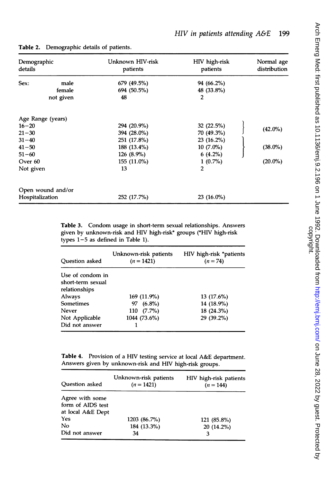| Demographic<br>details                                                                |                             | Unknown HIV-risk<br>patients                                                                  | HIV high-risk<br>patients                                                                            | Normal age<br>distribution             |
|---------------------------------------------------------------------------------------|-----------------------------|-----------------------------------------------------------------------------------------------|------------------------------------------------------------------------------------------------------|----------------------------------------|
| Sex:                                                                                  | male<br>female<br>not given | 679 (49.5%)<br>694 (50.5%)<br>48                                                              | 94 (66.2%)<br>48 (33.8%)<br>2                                                                        |                                        |
| $16 - 20$<br>$21 - 30$<br>$31 - 40$<br>$41 - 50$<br>$51 - 60$<br>Over 60<br>Not given | Age Range (years)           | 294 (20.9%)<br>394 (28.0%)<br>251 (17.8%)<br>188 (13.4%)<br>$126(8.9\%)$<br>155 (11.0%)<br>13 | 32(22.5%)<br>70 (49.3%)<br>$23(16.2\%)$<br>$10(7.0\%)$<br>$6(4.2\%)$<br>$1(0.7\%)$<br>$\overline{2}$ | $(42.0\%)$<br>$(38.0\%)$<br>$(20.0\%)$ |
| Hospitalization                                                                       | Open wound and/or           | 252 (17.7%)                                                                                   | $23(16.0\%)$                                                                                         |                                        |

Table 2. Demographic details of patients.

Table 3. Condom usage in short-term sexual relationships. Answers given by unknown-risk and HIV high-risk\* groups (\*HIV high-risk types 1-5 as defined in Table 1).

| <b>Question asked</b>                                  | Unknown-risk patients<br>$(n = 1421)$ | HIV high-risk *patients<br>$(n = 74)$ |
|--------------------------------------------------------|---------------------------------------|---------------------------------------|
| Use of condom in<br>short-term sexual<br>relationships |                                       |                                       |
| Always                                                 | 169 (11.9%)                           | $13(17.6\%)$                          |
| <b>Sometimes</b>                                       | 97 (6.8%)                             | 14 (18.9%)                            |
| Never                                                  | 110 $(7.7\%)$                         | $18(24.3\%)$                          |
| Not Applicable                                         | 1044 (73.6%)                          | 29 (39.2%)                            |
| Did not answer                                         |                                       |                                       |

| Table 4. Provision of a HIV testing service at local A&E department. |
|----------------------------------------------------------------------|
| Answers given by unknown-risk and HIV high-risk groups.              |

| Question asked    | Unknown-risk patients<br>$(n = 1421)$ | HIV high-risk patients<br>$(n = 144)$ |
|-------------------|---------------------------------------|---------------------------------------|
| Agree with some   |                                       |                                       |
| form of AIDS test |                                       |                                       |
| at local A&E Dept |                                       |                                       |
| Yes               | 1203 (86.7%)                          | 121 (85.8%)                           |
| No.               | 184 (13.3%)                           | 20 (14.2%)                            |
| Did not answer    | 34                                    | 3                                     |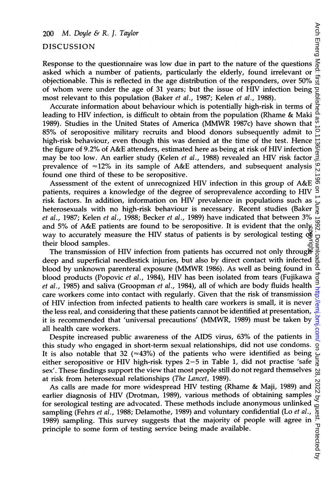## DISCUSSION

Response to the questionnaire was low due in part to the nature of the questions asked which a number of patients, particularly the elderly, found irrelevant or objectionable. This is reflected in the age distribution of the responders, over 50% of whom were under the age of <sup>31</sup> years; but the issue of HIV infection being most relevant to this population (Baker et al., 1987; Kelen et al., 1988).

Accurate information about behaviour which is potentially high-risk in terms of leading to HIV infection, is difficult to obtain from the population (Rhame & Maki 1989). Studies in the United States of America (MMWR 1987c) have shown that 85% of seropositive military recruits and blood donors subsequently admit to high-risk behaviour, even though this was denied at the time of the test. Hence the figure of 9.2% of A&E attenders, estimated here as being at risk of HIV infection may be too low. An earlier study (Kelen et al., 1988) revealed an HIV risk factor prevalence of  $\approx$ 12% in its sample of A&E attenders, and subsequent analysis found one third of these to be seropositive.

Assessment of the extent of unrecognized HIV infection in this group of A&E  $\frac{6}{5}$ patients, requires a knowledge of the degree of seroprevalence according to HIV risk factors. In addition, information on HIV prevalence in populations such as heterosexuals with no high-risk behaviour is necessary. Recent studies (Baker et al., 1987; Kelen et al., 1988; Becker et al., 1989) have indicated that between 3% and 5% of A&E patients are found to be seropositive. It is evident that the only way to accurately measure the HIV status of patients is by serological testing of their blood samples.<br>
The transmission of HIV infection from patients has occurred not only through their blood samples.

The transmission of HIV infection from patients has occurred not only through deep and superficial needlestick injuries, but also by direct contact with infected blood by unknown parenteral exposure (MMWR 1986). As well as being found in blood products (Popovic et al., 1984), HIV has been isolated from tears (Fujikawa et al., 1985) and saliva (Groopman et al., 1984), all of which are body fluids health care workers come into contact with regularly. Given that the risk of transmission of HIV infection from infected patients to health care workers is small, it is never the less real, and considering that these patients cannot be identified at presentation, it is recommended that 'universal precautions' (MMWR, 1989) must be taken by all health care workers.

Despite increased public awareness of the AIDS virus, 63% of the patients in this study who engaged in short-term sexual relationships, did not use condoms. It is also notable that 32 ( $\approx$ 43%) of the patients who were identified as being either seropositive or HIV high-risk types  $2-5$  in Table 1, did not practise 'safe sex'. These findings support the view that most people still do not regard themselves at risk from heterosexual relationships (The Lancet, 1989).

As calls are made for more widespread HIV testing (Rhame & Maji, 1989) and earlier diagnosis of HIV (Drotman, 1989), various methods of obtaining samples for serological testing are advocated. These methods include anonymous unlinked earlier diagnosis of HIV (Drotman, 1989), various methods of obtaining samples for serological testing are advocated. These methods include anonymous unlinked sampling (Fehrs *et al.*, 1988; Delamothe, 1989) and voluntary 1989) sampling. This survey suggests that the majority of people will agree in principle to some form of testing service being made available.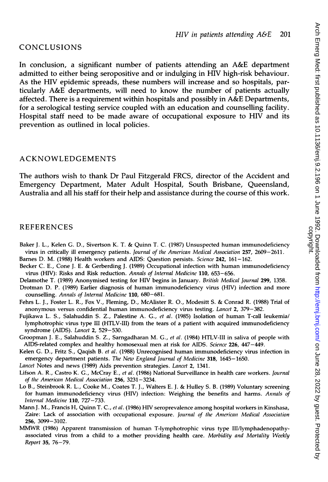### CONCLUSIONS

In conclusion, <sup>a</sup> significant number of patients attending an A&E department admitted to either being seropositive and or indulging in HIV high-risk behaviour. As the HIV epidemic spreads, these numbers will increase and so hospitals, particularly A&E departments, will need to know the number of patients actually affected. There is <sup>a</sup> requirement within hospitals and possibly in A&E Departments, for a serological testing service coupled with an education and counselling facility. Hospital staff need to be made aware of occupational exposure to HIV and its prevention as outlined in local policies.

### ACKNOWLEDGEMENTS

The authors wish to thank Dr Paul Fitzgerald FRCS, director of the Accident and Emergency Department, Mater Adult Hospital, South Brisbane, Queensland, Australia and all his staff for their help and assistance during the course of this work.

#### REFERENCES

Baker J. L., Kelen G. D., Sivertson K. T. & Quinn T. C. (1987) Unsuspected human immunodeficiency virus in critically ill emergency patients. Journal of the American Medical Association 257, 2609–2611.

Barnes D. M. (1988) Health workers and AIDS: Question persists. Science 242, 161-162.

- Becker C. E., Cone J. E. & Gerberding J. (1989) Occupational infection with human immunodeficiency virus (HIV): Risks and Risk reduction. Annals of Internal Medicine 110, 653-656.
- Delamothe T. (1989) Anonymised testing for HIV begins in January. British Medical Journal 299, 1358.
- Drotman D. P. (1989) Earlier diagnosis of human immunodeficiency virus (HIV) infection and more counselling. Annals of Internal Medicine 110, 680-681.
- Fehrs L. J., Foster L. R., Fox V., Fleming, D., McAlister R. O., Modesitt S. & Conrad R. (1988) Trial of anonymous versus confidential human immunodeficiency virus testing. Lancet 2, 379-382.
- Fujikawa L. S., Salahuddin S. Z., Palestine A. G., et al. (1985) Isolation of human T-call leukemia/ lymphotrophic virus type III (HTLV-III) from the tears of a patient with acquired immunodeficiency syndrome (AIDS). Lancet 2, 529-530.
- Groopman J. E., Salahuddin S. Z., Sarngadharan M. G., et al. (1984) HTLV-III in saliva of people with AIDS-related complex and healthy homosexual men at risk for AIDS. Science 226, 447-449.
- Kelen G. D., Fritz S., Qaqish B. et al. (1988) Unrecognised human immunodeficiency virus infection in emergency department patients. The New England Journal of Medicine 318, 1645-1650.
- Lancet Notes and news (1989) Aids prevention strategies. Lancet 2, 1341.
- Lifson A. R., Castro K. G., McCray E., et al. (1986) National Surveillance in health care workers. Journal of the Anierican Medical Association 256, 3231-3234.
- Lo B., Steinbrook R. L., Cooke M., Coates T. J., Walters E. J. & Hulley S. B. (1989) Voluntary screening for human immunodeficiency virus (HIV) infection: Weighing the benefits and harms. Annals of Internal Medicine 110, 727-733.
- Mann J. M., Francis H, Quinn T. C., et al. (1986) HIV seroprevalence among hospital workers in Kinshasa, Zaire: Lack of association with occupational exposure. Journal of the American Medical Association 256, 3099-3102.
- MMWR (1986) Apparent transmission of human T-lymphotrophic virus type III/lymphadenopathyassociated virus from a child to a mother providing health care. Morbidity and Mortality Weekly Report 35, 76-79.